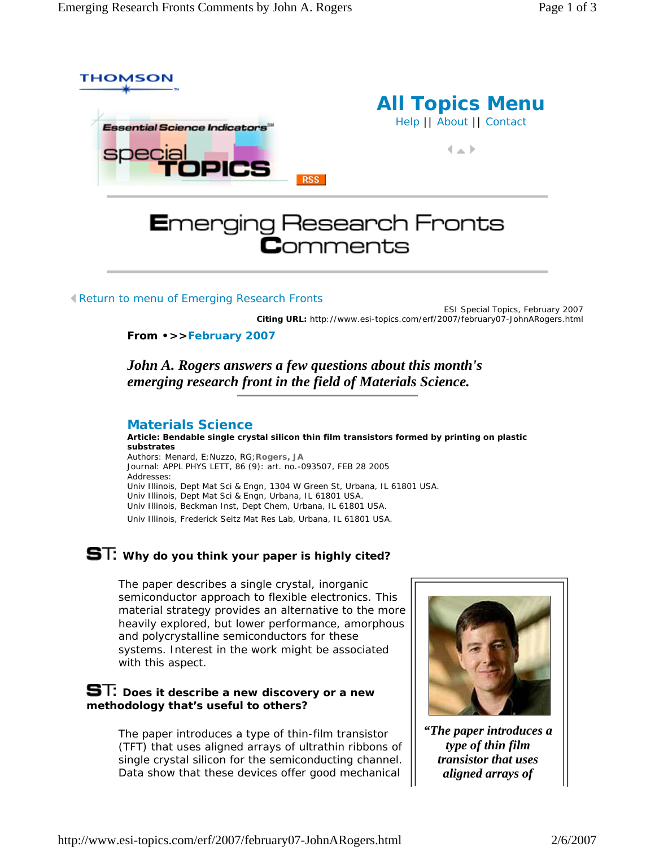

Return to menu of Emerging Research Fronts

ESI Special Topics, February 2007 **Citing URL:** http://www.esi-topics.com/erf/2007/february07-JohnARogers.html

#### **From •>>February 2007**

*John A. Rogers answers a few questions about this month's emerging research front in the field of Materials Science.*

#### **Materials Science**

**Article: Bendable single crystal silicon thin film transistors formed by printing on plastic substrates** Authors: Menard, E;Nuzzo, RG;**Rogers, JA** Journal: APPL PHYS LETT, 86 (9): art. no.-093507, FEB 28 2005 Addresses:

Univ Illinois, Dept Mat Sci & Engn, 1304 W Green St, Urbana, IL 61801 USA. Univ Illinois, Dept Mat Sci & Engn, Urbana, IL 61801 USA. Univ Illinois, Beckman Inst, Dept Chem, Urbana, IL 61801 USA.

Univ Illinois, Frederick Seitz Mat Res Lab, Urbana, IL 61801 USA.

# **ST:** Why do you think your paper is highly cited?

The paper describes a single crystal, inorganic semiconductor approach to flexible electronics. This material strategy provides an alternative to the more heavily explored, but lower performance, amorphous and polycrystalline semiconductors for these systems. Interest in the work might be associated with this aspect.

### **ST:** Does it describe a new discovery or a new **methodology that's useful to others?**

The paper introduces a type of thin-film transistor (TFT) that uses aligned arrays of ultrathin ribbons of single crystal silicon for the semiconducting channel. Data show that these devices offer good mechanical



*"The paper introduces a type of thin film transistor that uses aligned arrays of*